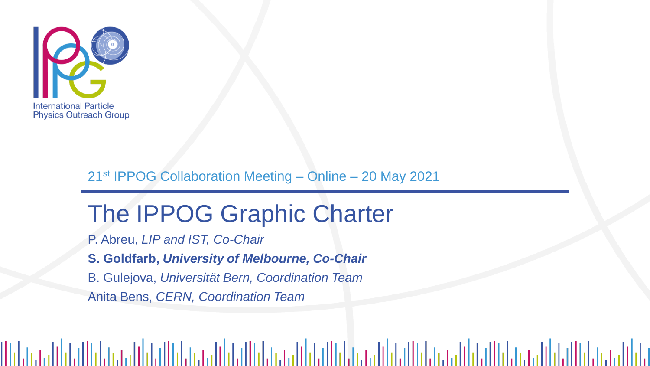

Milata

#### 21st IPPOG Collaboration Meeting – Online – 20 May 2021

# The IPPOG Graphic Charter

P. Abreu, *LIP and IST, Co-Chair*

**S. Goldfarb,** *University of Melbourne, Co-Chair*

B. Gulejova, *Universität Bern, Coordination Team*

Anita Bens, *CERN, Coordination Team*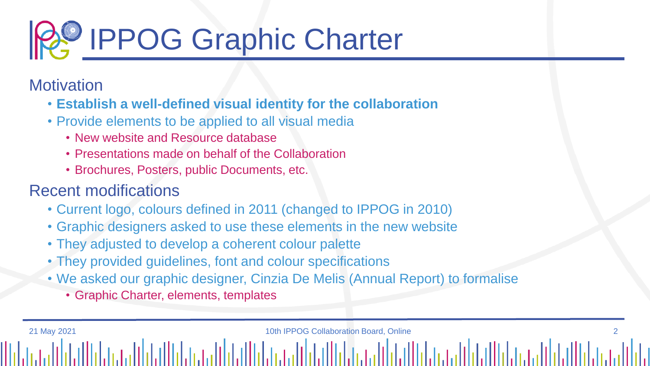

**Motivation** 

- **Establish a well-defined visual identity for the collaboration**
- Provide elements to be applied to all visual media
	- New website and Resource database
	- Presentations made on behalf of the Collaboration
	- Brochures, Posters, public Documents, etc.

# Recent modifications

- Current logo, colours defined in 2011 (changed to IPPOG in 2010)
- Graphic designers asked to use these elements in the new website
- They adjusted to develop a coherent colour palette
- They provided guidelines, font and colour specifications

21 May 2021 2021 2021 10th IPPOG Collaboration Board, Online 2014

- We asked our graphic designer, Cinzia De Melis (Annual Report) to formalise
	- Graphic Charter, elements, templates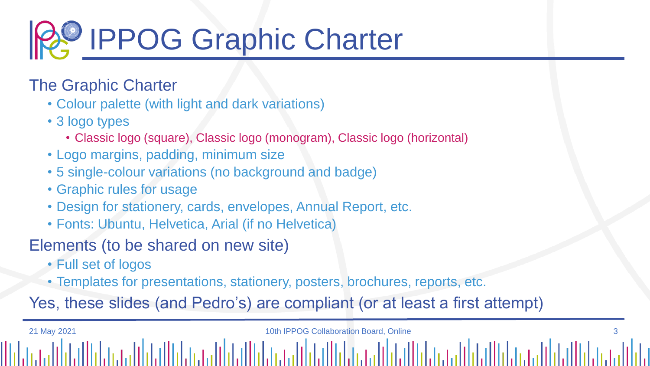

## The Graphic Charter

- Colour palette (with light and dark variations)
- 3 logo types
	- Classic logo (square), Classic logo (monogram), Classic logo (horizontal)
- Logo margins, padding, minimum size
- 5 single-colour variations (no background and badge)
- Graphic rules for usage
- Design for stationery, cards, envelopes, Annual Report, etc.

21 May 2021 10th IPPOG Collaboration Board, Online 3

• Fonts: Ubuntu, Helvetica, Arial (if no Helvetica)

## Elements (to be shared on new site)

- Full set of logos
- Templates for presentations, stationery, posters, brochures, reports, etc.

Yes, these slides (and Pedro's) are compliant (or at least a first attempt)